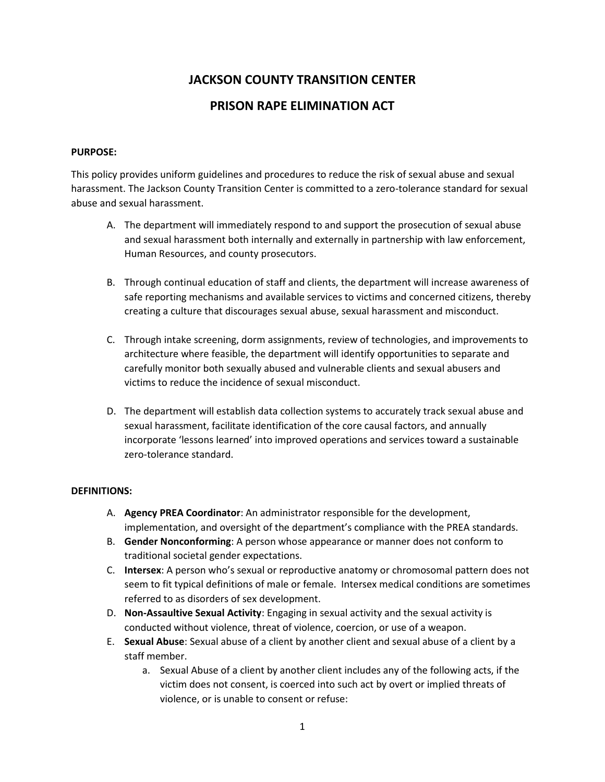## **JACKSON COUNTY TRANSITION CENTER**

## **PRISON RAPE ELIMINATION ACT**

#### **PURPOSE:**

This policy provides uniform guidelines and procedures to reduce the risk of sexual abuse and sexual harassment. The Jackson County Transition Center is committed to a zero-tolerance standard for sexual abuse and sexual harassment.

- A. The department will immediately respond to and support the prosecution of sexual abuse and sexual harassment both internally and externally in partnership with law enforcement, Human Resources, and county prosecutors.
- B. Through continual education of staff and clients, the department will increase awareness of safe reporting mechanisms and available services to victims and concerned citizens, thereby creating a culture that discourages sexual abuse, sexual harassment and misconduct.
- C. Through intake screening, dorm assignments, review of technologies, and improvements to architecture where feasible, the department will identify opportunities to separate and carefully monitor both sexually abused and vulnerable clients and sexual abusers and victims to reduce the incidence of sexual misconduct.
- D. The department will establish data collection systems to accurately track sexual abuse and sexual harassment, facilitate identification of the core causal factors, and annually incorporate 'lessons learned' into improved operations and services toward a sustainable zero-tolerance standard.

#### **DEFINITIONS:**

- A. **Agency PREA Coordinator**: An administrator responsible for the development, implementation, and oversight of the department's compliance with the PREA standards.
- B. **Gender Nonconforming**: A person whose appearance or manner does not conform to traditional societal gender expectations.
- C. **Intersex**: A person who's sexual or reproductive anatomy or chromosomal pattern does not seem to fit typical definitions of male or female. Intersex medical conditions are sometimes referred to as disorders of sex development.
- D. **Non-Assaultive Sexual Activity**: Engaging in sexual activity and the sexual activity is conducted without violence, threat of violence, coercion, or use of a weapon.
- E. **Sexual Abuse**: Sexual abuse of a client by another client and sexual abuse of a client by a staff member.
	- a. Sexual Abuse of a client by another client includes any of the following acts, if the victim does not consent, is coerced into such act by overt or implied threats of violence, or is unable to consent or refuse: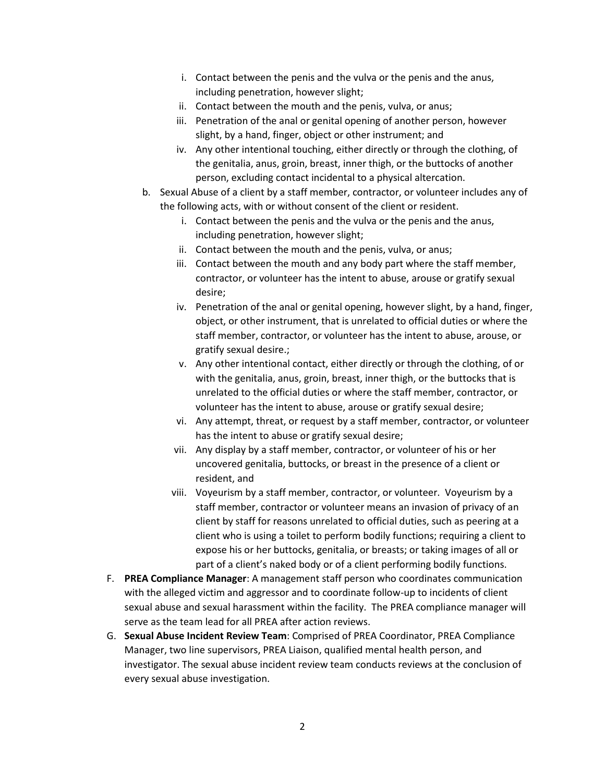- i. Contact between the penis and the vulva or the penis and the anus, including penetration, however slight;
- ii. Contact between the mouth and the penis, vulva, or anus;
- iii. Penetration of the anal or genital opening of another person, however slight, by a hand, finger, object or other instrument; and
- iv. Any other intentional touching, either directly or through the clothing, of the genitalia, anus, groin, breast, inner thigh, or the buttocks of another person, excluding contact incidental to a physical altercation.
- b. Sexual Abuse of a client by a staff member, contractor, or volunteer includes any of the following acts, with or without consent of the client or resident.
	- i. Contact between the penis and the vulva or the penis and the anus, including penetration, however slight;
	- ii. Contact between the mouth and the penis, vulva, or anus;
	- iii. Contact between the mouth and any body part where the staff member, contractor, or volunteer has the intent to abuse, arouse or gratify sexual desire;
	- iv. Penetration of the anal or genital opening, however slight, by a hand, finger, object, or other instrument, that is unrelated to official duties or where the staff member, contractor, or volunteer has the intent to abuse, arouse, or gratify sexual desire.;
	- v. Any other intentional contact, either directly or through the clothing, of or with the genitalia, anus, groin, breast, inner thigh, or the buttocks that is unrelated to the official duties or where the staff member, contractor, or volunteer has the intent to abuse, arouse or gratify sexual desire;
	- vi. Any attempt, threat, or request by a staff member, contractor, or volunteer has the intent to abuse or gratify sexual desire;
	- vii. Any display by a staff member, contractor, or volunteer of his or her uncovered genitalia, buttocks, or breast in the presence of a client or resident, and
	- viii. Voyeurism by a staff member, contractor, or volunteer. Voyeurism by a staff member, contractor or volunteer means an invasion of privacy of an client by staff for reasons unrelated to official duties, such as peering at a client who is using a toilet to perform bodily functions; requiring a client to expose his or her buttocks, genitalia, or breasts; or taking images of all or part of a client's naked body or of a client performing bodily functions.
- F. **PREA Compliance Manager**: A management staff person who coordinates communication with the alleged victim and aggressor and to coordinate follow-up to incidents of client sexual abuse and sexual harassment within the facility. The PREA compliance manager will serve as the team lead for all PREA after action reviews.
- G. **Sexual Abuse Incident Review Team**: Comprised of PREA Coordinator, PREA Compliance Manager, two line supervisors, PREA Liaison, qualified mental health person, and investigator. The sexual abuse incident review team conducts reviews at the conclusion of every sexual abuse investigation.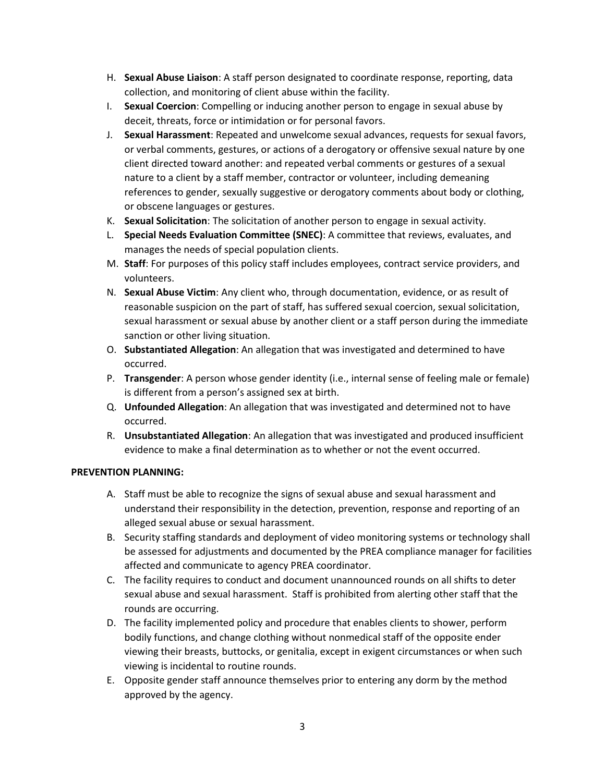- H. **Sexual Abuse Liaison**: A staff person designated to coordinate response, reporting, data collection, and monitoring of client abuse within the facility.
- I. **Sexual Coercion**: Compelling or inducing another person to engage in sexual abuse by deceit, threats, force or intimidation or for personal favors.
- J. **Sexual Harassment**: Repeated and unwelcome sexual advances, requests for sexual favors, or verbal comments, gestures, or actions of a derogatory or offensive sexual nature by one client directed toward another: and repeated verbal comments or gestures of a sexual nature to a client by a staff member, contractor or volunteer, including demeaning references to gender, sexually suggestive or derogatory comments about body or clothing, or obscene languages or gestures.
- K. **Sexual Solicitation**: The solicitation of another person to engage in sexual activity.
- L. **Special Needs Evaluation Committee (SNEC)**: A committee that reviews, evaluates, and manages the needs of special population clients.
- M. **Staff**: For purposes of this policy staff includes employees, contract service providers, and volunteers.
- N. **Sexual Abuse Victim**: Any client who, through documentation, evidence, or as result of reasonable suspicion on the part of staff, has suffered sexual coercion, sexual solicitation, sexual harassment or sexual abuse by another client or a staff person during the immediate sanction or other living situation.
- O. **Substantiated Allegation**: An allegation that was investigated and determined to have occurred.
- P. **Transgender**: A person whose gender identity (i.e., internal sense of feeling male or female) is different from a person's assigned sex at birth.
- Q. **Unfounded Allegation**: An allegation that was investigated and determined not to have occurred.
- R. **Unsubstantiated Allegation**: An allegation that was investigated and produced insufficient evidence to make a final determination as to whether or not the event occurred.

### **PREVENTION PLANNING:**

- A. Staff must be able to recognize the signs of sexual abuse and sexual harassment and understand their responsibility in the detection, prevention, response and reporting of an alleged sexual abuse or sexual harassment.
- B. Security staffing standards and deployment of video monitoring systems or technology shall be assessed for adjustments and documented by the PREA compliance manager for facilities affected and communicate to agency PREA coordinator.
- C. The facility requires to conduct and document unannounced rounds on all shifts to deter sexual abuse and sexual harassment. Staff is prohibited from alerting other staff that the rounds are occurring.
- D. The facility implemented policy and procedure that enables clients to shower, perform bodily functions, and change clothing without nonmedical staff of the opposite ender viewing their breasts, buttocks, or genitalia, except in exigent circumstances or when such viewing is incidental to routine rounds.
- E. Opposite gender staff announce themselves prior to entering any dorm by the method approved by the agency.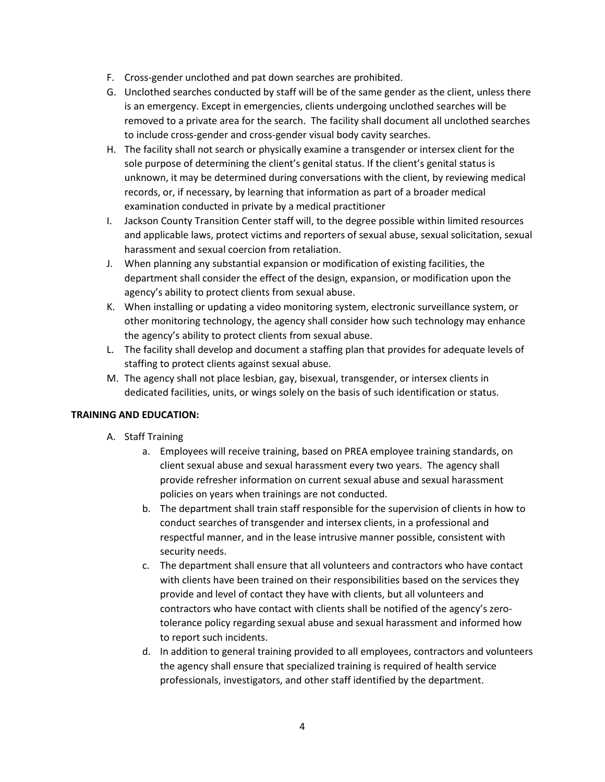- F. Cross-gender unclothed and pat down searches are prohibited.
- G. Unclothed searches conducted by staff will be of the same gender as the client, unless there is an emergency. Except in emergencies, clients undergoing unclothed searches will be removed to a private area for the search. The facility shall document all unclothed searches to include cross-gender and cross-gender visual body cavity searches.
- H. The facility shall not search or physically examine a transgender or intersex client for the sole purpose of determining the client's genital status. If the client's genital status is unknown, it may be determined during conversations with the client, by reviewing medical records, or, if necessary, by learning that information as part of a broader medical examination conducted in private by a medical practitioner
- I. Jackson County Transition Center staff will, to the degree possible within limited resources and applicable laws, protect victims and reporters of sexual abuse, sexual solicitation, sexual harassment and sexual coercion from retaliation.
- J. When planning any substantial expansion or modification of existing facilities, the department shall consider the effect of the design, expansion, or modification upon the agency's ability to protect clients from sexual abuse.
- K. When installing or updating a video monitoring system, electronic surveillance system, or other monitoring technology, the agency shall consider how such technology may enhance the agency's ability to protect clients from sexual abuse.
- L. The facility shall develop and document a staffing plan that provides for adequate levels of staffing to protect clients against sexual abuse.
- M. The agency shall not place lesbian, gay, bisexual, transgender, or intersex clients in dedicated facilities, units, or wings solely on the basis of such identification or status.

## **TRAINING AND EDUCATION:**

- A. Staff Training
	- a. Employees will receive training, based on PREA employee training standards, on client sexual abuse and sexual harassment every two years. The agency shall provide refresher information on current sexual abuse and sexual harassment policies on years when trainings are not conducted.
	- b. The department shall train staff responsible for the supervision of clients in how to conduct searches of transgender and intersex clients, in a professional and respectful manner, and in the lease intrusive manner possible, consistent with security needs.
	- c. The department shall ensure that all volunteers and contractors who have contact with clients have been trained on their responsibilities based on the services they provide and level of contact they have with clients, but all volunteers and contractors who have contact with clients shall be notified of the agency's zerotolerance policy regarding sexual abuse and sexual harassment and informed how to report such incidents.
	- d. In addition to general training provided to all employees, contractors and volunteers the agency shall ensure that specialized training is required of health service professionals, investigators, and other staff identified by the department.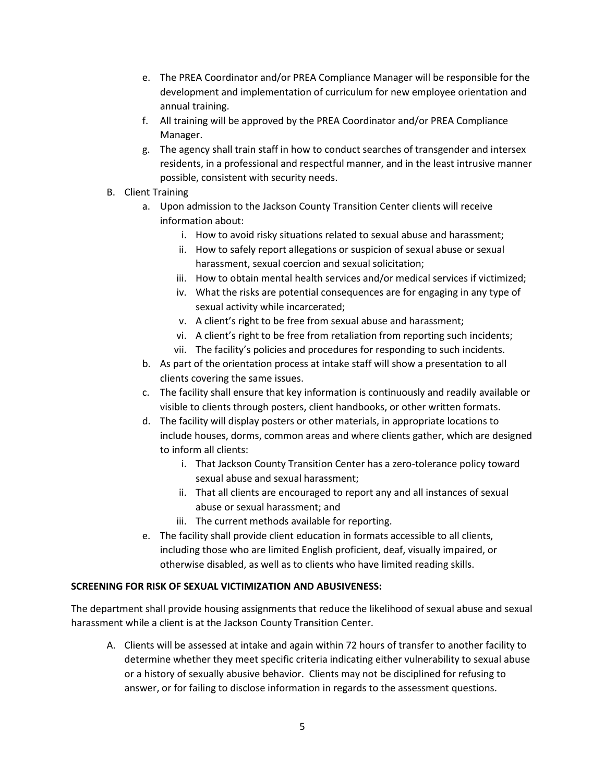- e. The PREA Coordinator and/or PREA Compliance Manager will be responsible for the development and implementation of curriculum for new employee orientation and annual training.
- f. All training will be approved by the PREA Coordinator and/or PREA Compliance Manager.
- g. The agency shall train staff in how to conduct searches of transgender and intersex residents, in a professional and respectful manner, and in the least intrusive manner possible, consistent with security needs.
- B. Client Training
	- a. Upon admission to the Jackson County Transition Center clients will receive information about:
		- i. How to avoid risky situations related to sexual abuse and harassment;
		- ii. How to safely report allegations or suspicion of sexual abuse or sexual harassment, sexual coercion and sexual solicitation;
		- iii. How to obtain mental health services and/or medical services if victimized;
		- iv. What the risks are potential consequences are for engaging in any type of sexual activity while incarcerated;
		- v. A client's right to be free from sexual abuse and harassment;
		- vi. A client's right to be free from retaliation from reporting such incidents;
		- vii. The facility's policies and procedures for responding to such incidents.
	- b. As part of the orientation process at intake staff will show a presentation to all clients covering the same issues.
	- c. The facility shall ensure that key information is continuously and readily available or visible to clients through posters, client handbooks, or other written formats.
	- d. The facility will display posters or other materials, in appropriate locations to include houses, dorms, common areas and where clients gather, which are designed to inform all clients:
		- i. That Jackson County Transition Center has a zero-tolerance policy toward sexual abuse and sexual harassment;
		- ii. That all clients are encouraged to report any and all instances of sexual abuse or sexual harassment; and
		- iii. The current methods available for reporting.
	- e. The facility shall provide client education in formats accessible to all clients, including those who are limited English proficient, deaf, visually impaired, or otherwise disabled, as well as to clients who have limited reading skills.

## **SCREENING FOR RISK OF SEXUAL VICTIMIZATION AND ABUSIVENESS:**

The department shall provide housing assignments that reduce the likelihood of sexual abuse and sexual harassment while a client is at the Jackson County Transition Center.

A. Clients will be assessed at intake and again within 72 hours of transfer to another facility to determine whether they meet specific criteria indicating either vulnerability to sexual abuse or a history of sexually abusive behavior. Clients may not be disciplined for refusing to answer, or for failing to disclose information in regards to the assessment questions.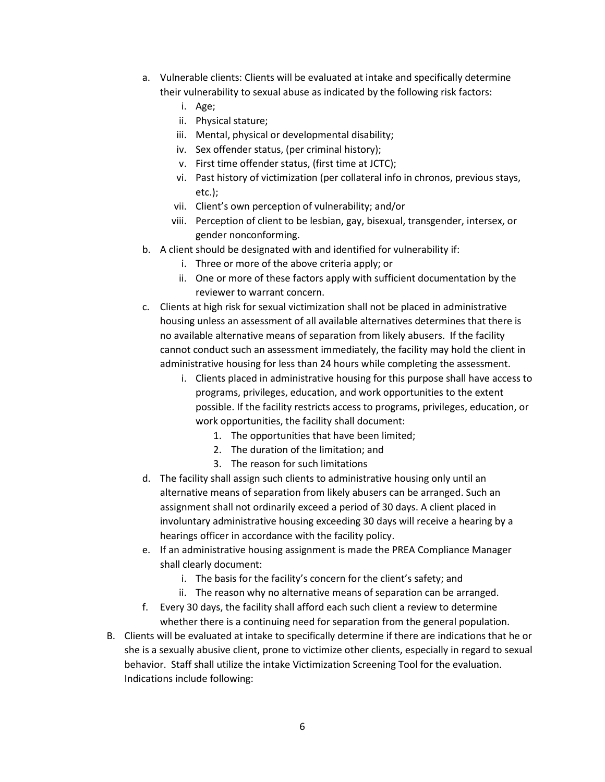- a. Vulnerable clients: Clients will be evaluated at intake and specifically determine their vulnerability to sexual abuse as indicated by the following risk factors:
	- i. Age;
	- ii. Physical stature;
	- iii. Mental, physical or developmental disability;
	- iv. Sex offender status, (per criminal history);
	- v. First time offender status, (first time at JCTC);
	- vi. Past history of victimization (per collateral info in chronos, previous stays, etc.);
	- vii. Client's own perception of vulnerability; and/or
	- viii. Perception of client to be lesbian, gay, bisexual, transgender, intersex, or gender nonconforming.
- b. A client should be designated with and identified for vulnerability if:
	- i. Three or more of the above criteria apply; or
	- ii. One or more of these factors apply with sufficient documentation by the reviewer to warrant concern.
- c. Clients at high risk for sexual victimization shall not be placed in administrative housing unless an assessment of all available alternatives determines that there is no available alternative means of separation from likely abusers. If the facility cannot conduct such an assessment immediately, the facility may hold the client in administrative housing for less than 24 hours while completing the assessment.
	- i. Clients placed in administrative housing for this purpose shall have access to programs, privileges, education, and work opportunities to the extent possible. If the facility restricts access to programs, privileges, education, or work opportunities, the facility shall document:
		- 1. The opportunities that have been limited;
		- 2. The duration of the limitation; and
		- 3. The reason for such limitations
- d. The facility shall assign such clients to administrative housing only until an alternative means of separation from likely abusers can be arranged. Such an assignment shall not ordinarily exceed a period of 30 days. A client placed in involuntary administrative housing exceeding 30 days will receive a hearing by a hearings officer in accordance with the facility policy.
- e. If an administrative housing assignment is made the PREA Compliance Manager shall clearly document:
	- i. The basis for the facility's concern for the client's safety; and
	- ii. The reason why no alternative means of separation can be arranged.
- f. Every 30 days, the facility shall afford each such client a review to determine whether there is a continuing need for separation from the general population.
- B. Clients will be evaluated at intake to specifically determine if there are indications that he or she is a sexually abusive client, prone to victimize other clients, especially in regard to sexual behavior. Staff shall utilize the intake Victimization Screening Tool for the evaluation. Indications include following: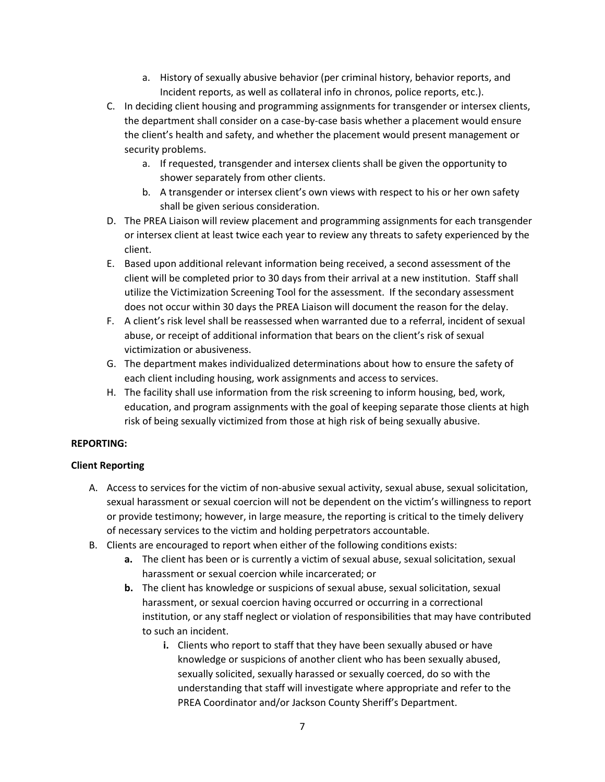- a. History of sexually abusive behavior (per criminal history, behavior reports, and Incident reports, as well as collateral info in chronos, police reports, etc.).
- C. In deciding client housing and programming assignments for transgender or intersex clients, the department shall consider on a case-by-case basis whether a placement would ensure the client's health and safety, and whether the placement would present management or security problems.
	- a. If requested, transgender and intersex clients shall be given the opportunity to shower separately from other clients.
	- b. A transgender or intersex client's own views with respect to his or her own safety shall be given serious consideration.
- D. The PREA Liaison will review placement and programming assignments for each transgender or intersex client at least twice each year to review any threats to safety experienced by the client.
- E. Based upon additional relevant information being received, a second assessment of the client will be completed prior to 30 days from their arrival at a new institution. Staff shall utilize the Victimization Screening Tool for the assessment. If the secondary assessment does not occur within 30 days the PREA Liaison will document the reason for the delay.
- F. A client's risk level shall be reassessed when warranted due to a referral, incident of sexual abuse, or receipt of additional information that bears on the client's risk of sexual victimization or abusiveness.
- G. The department makes individualized determinations about how to ensure the safety of each client including housing, work assignments and access to services.
- H. The facility shall use information from the risk screening to inform housing, bed, work, education, and program assignments with the goal of keeping separate those clients at high risk of being sexually victimized from those at high risk of being sexually abusive.

### **REPORTING:**

### **Client Reporting**

- A. Access to services for the victim of non-abusive sexual activity, sexual abuse, sexual solicitation, sexual harassment or sexual coercion will not be dependent on the victim's willingness to report or provide testimony; however, in large measure, the reporting is critical to the timely delivery of necessary services to the victim and holding perpetrators accountable.
- B. Clients are encouraged to report when either of the following conditions exists:
	- **a.** The client has been or is currently a victim of sexual abuse, sexual solicitation, sexual harassment or sexual coercion while incarcerated; or
	- **b.** The client has knowledge or suspicions of sexual abuse, sexual solicitation, sexual harassment, or sexual coercion having occurred or occurring in a correctional institution, or any staff neglect or violation of responsibilities that may have contributed to such an incident.
		- **i.** Clients who report to staff that they have been sexually abused or have knowledge or suspicions of another client who has been sexually abused, sexually solicited, sexually harassed or sexually coerced, do so with the understanding that staff will investigate where appropriate and refer to the PREA Coordinator and/or Jackson County Sheriff's Department.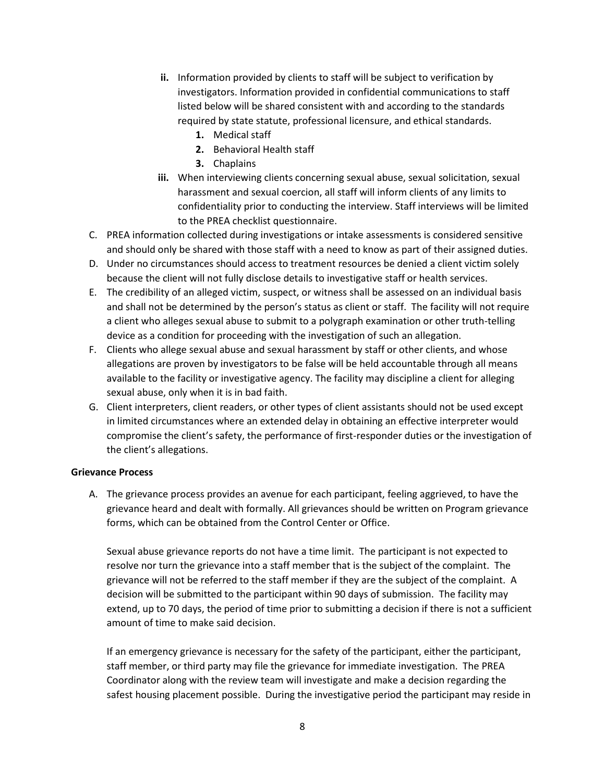- **ii.** Information provided by clients to staff will be subject to verification by investigators. Information provided in confidential communications to staff listed below will be shared consistent with and according to the standards required by state statute, professional licensure, and ethical standards.
	- **1.** Medical staff
	- **2.** Behavioral Health staff
	- **3.** Chaplains
- **iii.** When interviewing clients concerning sexual abuse, sexual solicitation, sexual harassment and sexual coercion, all staff will inform clients of any limits to confidentiality prior to conducting the interview. Staff interviews will be limited to the PREA checklist questionnaire.
- C. PREA information collected during investigations or intake assessments is considered sensitive and should only be shared with those staff with a need to know as part of their assigned duties.
- D. Under no circumstances should access to treatment resources be denied a client victim solely because the client will not fully disclose details to investigative staff or health services.
- E. The credibility of an alleged victim, suspect, or witness shall be assessed on an individual basis and shall not be determined by the person's status as client or staff. The facility will not require a client who alleges sexual abuse to submit to a polygraph examination or other truth-telling device as a condition for proceeding with the investigation of such an allegation.
- F. Clients who allege sexual abuse and sexual harassment by staff or other clients, and whose allegations are proven by investigators to be false will be held accountable through all means available to the facility or investigative agency. The facility may discipline a client for alleging sexual abuse, only when it is in bad faith.
- G. Client interpreters, client readers, or other types of client assistants should not be used except in limited circumstances where an extended delay in obtaining an effective interpreter would compromise the client's safety, the performance of first-responder duties or the investigation of the client's allegations.

### **Grievance Process**

A. The grievance process provides an avenue for each participant, feeling aggrieved, to have the grievance heard and dealt with formally. All grievances should be written on Program grievance forms, which can be obtained from the Control Center or Office.

Sexual abuse grievance reports do not have a time limit. The participant is not expected to resolve nor turn the grievance into a staff member that is the subject of the complaint. The grievance will not be referred to the staff member if they are the subject of the complaint. A decision will be submitted to the participant within 90 days of submission. The facility may extend, up to 70 days, the period of time prior to submitting a decision if there is not a sufficient amount of time to make said decision.

If an emergency grievance is necessary for the safety of the participant, either the participant, staff member, or third party may file the grievance for immediate investigation. The PREA Coordinator along with the review team will investigate and make a decision regarding the safest housing placement possible. During the investigative period the participant may reside in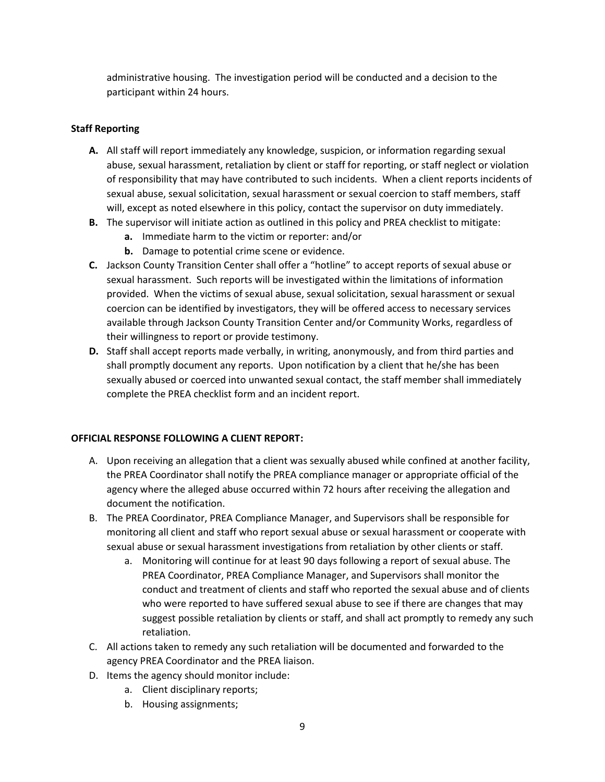administrative housing. The investigation period will be conducted and a decision to the participant within 24 hours.

### **Staff Reporting**

- **A.** All staff will report immediately any knowledge, suspicion, or information regarding sexual abuse, sexual harassment, retaliation by client or staff for reporting, or staff neglect or violation of responsibility that may have contributed to such incidents. When a client reports incidents of sexual abuse, sexual solicitation, sexual harassment or sexual coercion to staff members, staff will, except as noted elsewhere in this policy, contact the supervisor on duty immediately.
- **B.** The supervisor will initiate action as outlined in this policy and PREA checklist to mitigate:
	- **a.** Immediate harm to the victim or reporter: and/or
	- **b.** Damage to potential crime scene or evidence.
- **C.** Jackson County Transition Center shall offer a "hotline" to accept reports of sexual abuse or sexual harassment. Such reports will be investigated within the limitations of information provided. When the victims of sexual abuse, sexual solicitation, sexual harassment or sexual coercion can be identified by investigators, they will be offered access to necessary services available through Jackson County Transition Center and/or Community Works, regardless of their willingness to report or provide testimony.
- **D.** Staff shall accept reports made verbally, in writing, anonymously, and from third parties and shall promptly document any reports. Upon notification by a client that he/she has been sexually abused or coerced into unwanted sexual contact, the staff member shall immediately complete the PREA checklist form and an incident report.

### **OFFICIAL RESPONSE FOLLOWING A CLIENT REPORT:**

- A. Upon receiving an allegation that a client was sexually abused while confined at another facility, the PREA Coordinator shall notify the PREA compliance manager or appropriate official of the agency where the alleged abuse occurred within 72 hours after receiving the allegation and document the notification.
- B. The PREA Coordinator, PREA Compliance Manager, and Supervisors shall be responsible for monitoring all client and staff who report sexual abuse or sexual harassment or cooperate with sexual abuse or sexual harassment investigations from retaliation by other clients or staff.
	- a. Monitoring will continue for at least 90 days following a report of sexual abuse. The PREA Coordinator, PREA Compliance Manager, and Supervisors shall monitor the conduct and treatment of clients and staff who reported the sexual abuse and of clients who were reported to have suffered sexual abuse to see if there are changes that may suggest possible retaliation by clients or staff, and shall act promptly to remedy any such retaliation.
- C. All actions taken to remedy any such retaliation will be documented and forwarded to the agency PREA Coordinator and the PREA liaison.
- D. Items the agency should monitor include:
	- a. Client disciplinary reports;
	- b. Housing assignments;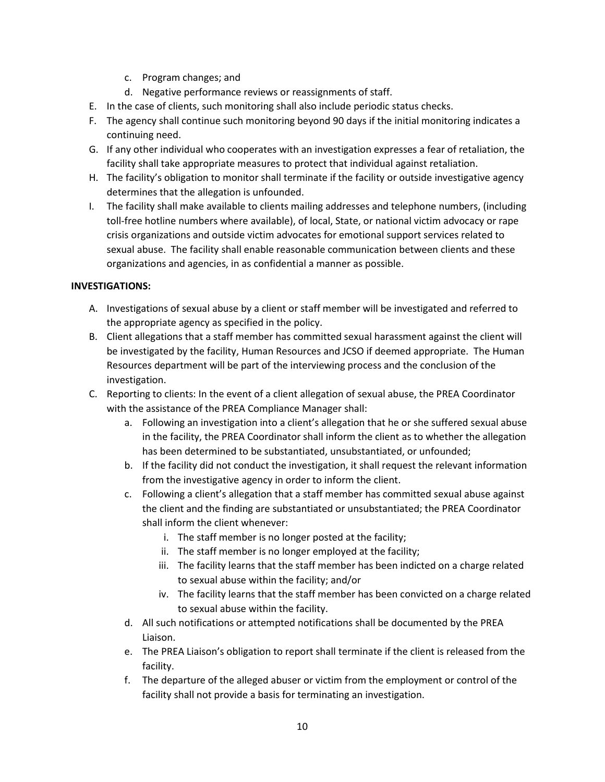- c. Program changes; and
- d. Negative performance reviews or reassignments of staff.
- E. In the case of clients, such monitoring shall also include periodic status checks.
- F. The agency shall continue such monitoring beyond 90 days if the initial monitoring indicates a continuing need.
- G. If any other individual who cooperates with an investigation expresses a fear of retaliation, the facility shall take appropriate measures to protect that individual against retaliation.
- H. The facility's obligation to monitor shall terminate if the facility or outside investigative agency determines that the allegation is unfounded.
- I. The facility shall make available to clients mailing addresses and telephone numbers, (including toll-free hotline numbers where available), of local, State, or national victim advocacy or rape crisis organizations and outside victim advocates for emotional support services related to sexual abuse. The facility shall enable reasonable communication between clients and these organizations and agencies, in as confidential a manner as possible.

## **INVESTIGATIONS:**

- A. Investigations of sexual abuse by a client or staff member will be investigated and referred to the appropriate agency as specified in the policy.
- B. Client allegations that a staff member has committed sexual harassment against the client will be investigated by the facility, Human Resources and JCSO if deemed appropriate. The Human Resources department will be part of the interviewing process and the conclusion of the investigation.
- C. Reporting to clients: In the event of a client allegation of sexual abuse, the PREA Coordinator with the assistance of the PREA Compliance Manager shall:
	- a. Following an investigation into a client's allegation that he or she suffered sexual abuse in the facility, the PREA Coordinator shall inform the client as to whether the allegation has been determined to be substantiated, unsubstantiated, or unfounded;
	- b. If the facility did not conduct the investigation, it shall request the relevant information from the investigative agency in order to inform the client.
	- c. Following a client's allegation that a staff member has committed sexual abuse against the client and the finding are substantiated or unsubstantiated; the PREA Coordinator shall inform the client whenever:
		- i. The staff member is no longer posted at the facility;
		- ii. The staff member is no longer employed at the facility;
		- iii. The facility learns that the staff member has been indicted on a charge related to sexual abuse within the facility; and/or
		- iv. The facility learns that the staff member has been convicted on a charge related to sexual abuse within the facility.
	- d. All such notifications or attempted notifications shall be documented by the PREA Liaison.
	- e. The PREA Liaison's obligation to report shall terminate if the client is released from the facility.
	- f. The departure of the alleged abuser or victim from the employment or control of the facility shall not provide a basis for terminating an investigation.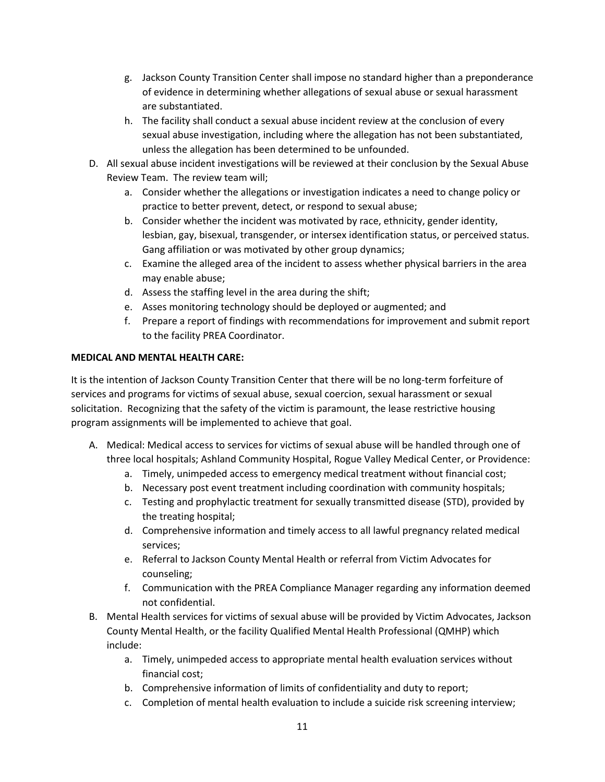- g. Jackson County Transition Center shall impose no standard higher than a preponderance of evidence in determining whether allegations of sexual abuse or sexual harassment are substantiated.
- h. The facility shall conduct a sexual abuse incident review at the conclusion of every sexual abuse investigation, including where the allegation has not been substantiated, unless the allegation has been determined to be unfounded.
- D. All sexual abuse incident investigations will be reviewed at their conclusion by the Sexual Abuse Review Team. The review team will;
	- a. Consider whether the allegations or investigation indicates a need to change policy or practice to better prevent, detect, or respond to sexual abuse;
	- b. Consider whether the incident was motivated by race, ethnicity, gender identity, lesbian, gay, bisexual, transgender, or intersex identification status, or perceived status. Gang affiliation or was motivated by other group dynamics;
	- c. Examine the alleged area of the incident to assess whether physical barriers in the area may enable abuse;
	- d. Assess the staffing level in the area during the shift;
	- e. Asses monitoring technology should be deployed or augmented; and
	- f. Prepare a report of findings with recommendations for improvement and submit report to the facility PREA Coordinator.

## **MEDICAL AND MENTAL HEALTH CARE:**

It is the intention of Jackson County Transition Center that there will be no long-term forfeiture of services and programs for victims of sexual abuse, sexual coercion, sexual harassment or sexual solicitation. Recognizing that the safety of the victim is paramount, the lease restrictive housing program assignments will be implemented to achieve that goal.

- A. Medical: Medical access to services for victims of sexual abuse will be handled through one of three local hospitals; Ashland Community Hospital, Rogue Valley Medical Center, or Providence:
	- a. Timely, unimpeded access to emergency medical treatment without financial cost;
	- b. Necessary post event treatment including coordination with community hospitals;
	- c. Testing and prophylactic treatment for sexually transmitted disease (STD), provided by the treating hospital;
	- d. Comprehensive information and timely access to all lawful pregnancy related medical services;
	- e. Referral to Jackson County Mental Health or referral from Victim Advocates for counseling;
	- f. Communication with the PREA Compliance Manager regarding any information deemed not confidential.
- B. Mental Health services for victims of sexual abuse will be provided by Victim Advocates, Jackson County Mental Health, or the facility Qualified Mental Health Professional (QMHP) which include:
	- a. Timely, unimpeded access to appropriate mental health evaluation services without financial cost;
	- b. Comprehensive information of limits of confidentiality and duty to report;
	- c. Completion of mental health evaluation to include a suicide risk screening interview;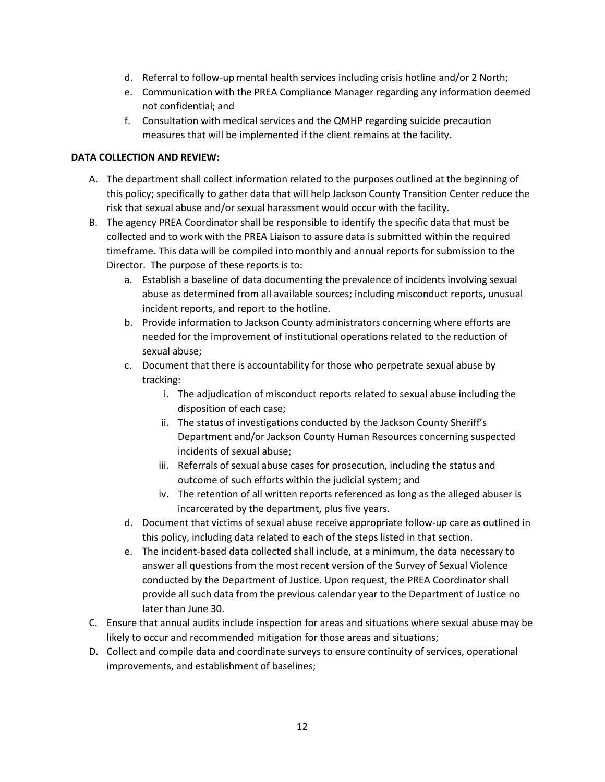- d. Referral to follow-up mental health services including crisis hotline and/or 2 North;
- e. Communication with the PREA Compliance Manager regarding any information deemed not confidential; and
- f. Consultation with medical services and the QMHP regarding suicide precaution measures that will be implemented if the client remains at the facility.

### **DATA COLLECTION AND REVIEW:**

- A. The department shall collect information related to the purposes outlined at the beginning of this policy; specifically to gather data that will help Jackson County Transition Center reduce the risk that sexual abuse and/or sexual harassment would occur with the facility.
- B. The agency PREA Coordinator shall be responsible to identify the specific data that must be collected and to work with the PREA Liaison to assure data is submitted within the required timeframe. This data will be compiled into monthly and annual reports for submission to the Director. The purpose of these reports is to:
	- a. Establish a baseline of data documenting the prevalence of incidents involving sexual abuse as determined from all available sources; including misconduct reports, unusual incident reports, and report to the hotline.
	- b. Provide information to Jackson County administrators concerning where efforts are needed for the improvement of institutional operations related to the reduction of sexual abuse;
	- c. Document that there is accountability for those who perpetrate sexual abuse by tracking:
		- i. The adjudication of misconduct reports related to sexual abuse including the disposition of each case;
		- ii. The status of investigations conducted by the Jackson County Sheriff's Department and/or Jackson County Human Resources concerning suspected incidents of sexual abuse;
		- iii. Referrals of sexual abuse cases for prosecution, including the status and outcome of such efforts within the judicial system; and
		- iv. The retention of all written reports referenced as long as the alleged abuser is incarcerated by the department, plus five years.
	- d. Document that victims of sexual abuse receive appropriate follow-up care as outlined in this policy, including data related to each of the steps listed in that section.
	- e. The incident-based data collected shall include, at a minimum, the data necessary to answer all questions from the most recent version of the Survey of Sexual Violence conducted by the Department of Justice. Upon request, the PREA Coordinator shall provide all such data from the previous calendar year to the Department of Justice no later than June 30.
- C. Ensure that annual audits include inspection for areas and situations where sexual abuse may be likely to occur and recommended mitigation for those areas and situations;
- D. Collect and compile data and coordinate surveys to ensure continuity of services, operational improvements, and establishment of baselines;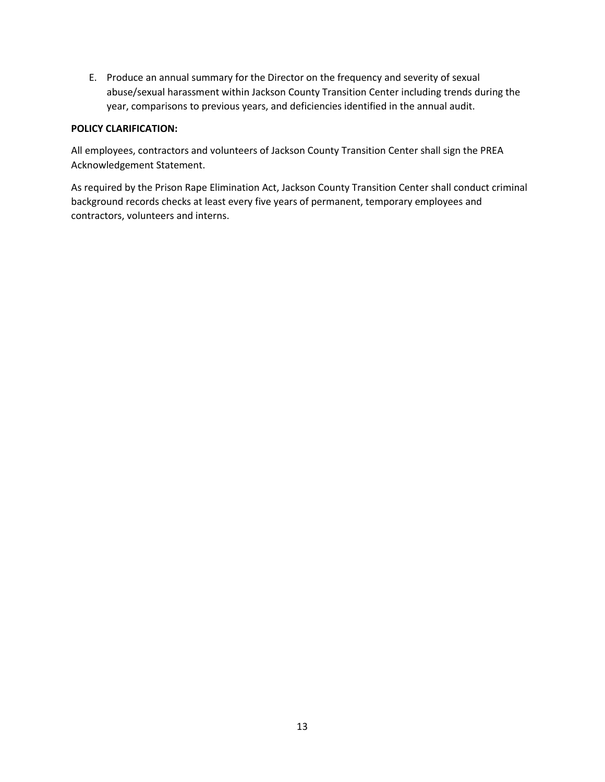E. Produce an annual summary for the Director on the frequency and severity of sexual abuse/sexual harassment within Jackson County Transition Center including trends during the year, comparisons to previous years, and deficiencies identified in the annual audit.

### **POLICY CLARIFICATION:**

All employees, contractors and volunteers of Jackson County Transition Center shall sign the PREA Acknowledgement Statement.

As required by the Prison Rape Elimination Act, Jackson County Transition Center shall conduct criminal background records checks at least every five years of permanent, temporary employees and contractors, volunteers and interns.